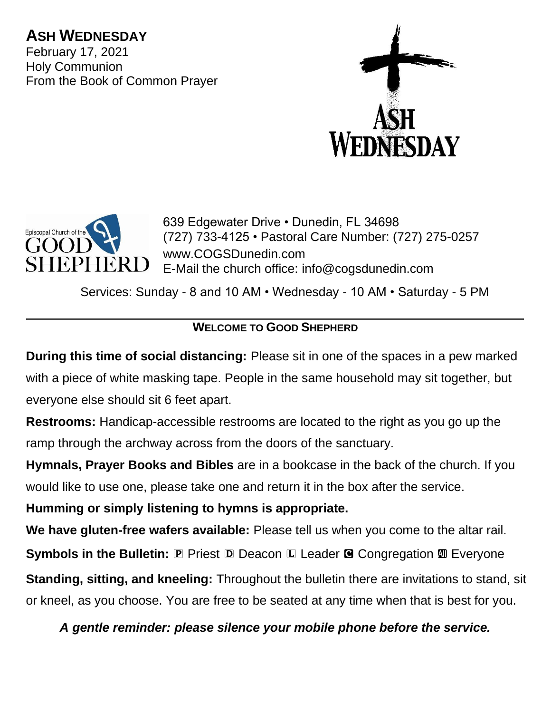# **ASH WEDNESDAY**

February 17, 2021 Holy Communion From the Book of Common Prayer





639 Edgewater Drive • Dunedin, FL 34698 (727) 733-4125 • Pastoral Care Number: (727) 275-0257 www.COGSDunedin.com E-Mail the church office: info@cogsdunedin.com

Services: Sunday - 8 and 10 AM • Wednesday - 10 AM • Saturday - 5 PM

## **WELCOME TO GOOD SHEPHERD**

**During this time of social distancing:** Please sit in one of the spaces in a pew marked with a piece of white masking tape. People in the same household may sit together, but everyone else should sit 6 feet apart.

**Restrooms:** Handicap-accessible restrooms are located to the right as you go up the ramp through the archway across from the doors of the sanctuary.

**Hymnals, Prayer Books and Bibles** are in a bookcase in the back of the church. If you would like to use one, please take one and return it in the box after the service.

**Humming or simply listening to hymns is appropriate.**

**We have gluten-free wafers available:** Please tell us when you come to the altar rail.

**Symbols in the Bulletin: P** Priest D Deacon L Leader **G** Congregation **II** Everyone

**Standing, sitting, and kneeling:** Throughout the bulletin there are invitations to stand, sit or kneel, as you choose. You are free to be seated at any time when that is best for you.

*A gentle reminder: please silence your mobile phone before the service.*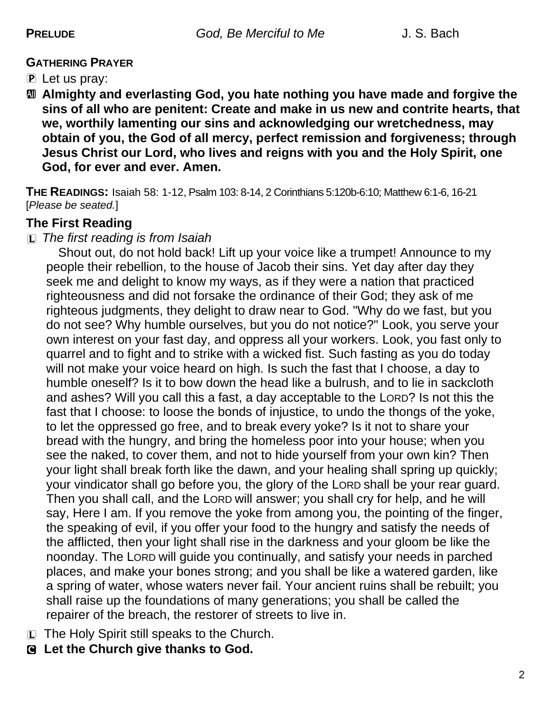#### **GATHERING PRAYER**

- $\mathbf{P}$  Let us pray:
- a **Almighty and everlasting God, you hate nothing you have made and forgive the sins of all who are penitent: Create and make in us new and contrite hearts, that we, worthily lamenting our sins and acknowledging our wretchedness, may obtain of you, the God of all mercy, perfect remission and forgiveness; through Jesus Christ our Lord, who lives and reigns with you and the Holy Spirit, one God, for ever and ever. Amen.**

**THE READINGS:** Isaiah 58: 1-12, Psalm 103: 8-14, 2 Corinthians 5:120b-6:10; Matthew 6:1-6, 16-21 [*Please be seated.*]

#### **The First Reading**

L *The first reading is from Isaiah* 

Shout out, do not hold back! Lift up your voice like a trumpet! Announce to my people their rebellion, to the house of Jacob their sins. Yet day after day they seek me and delight to know my ways, as if they were a nation that practiced righteousness and did not forsake the ordinance of their God; they ask of me righteous judgments, they delight to draw near to God. "Why do we fast, but you do not see? Why humble ourselves, but you do not notice?" Look, you serve your own interest on your fast day, and oppress all your workers. Look, you fast only to quarrel and to fight and to strike with a wicked fist. Such fasting as you do today will not make your voice heard on high. Is such the fast that I choose, a day to humble oneself? Is it to bow down the head like a bulrush, and to lie in sackcloth and ashes? Will you call this a fast, a day acceptable to the LORD? Is not this the fast that I choose: to loose the bonds of injustice, to undo the thongs of the yoke, to let the oppressed go free, and to break every yoke? Is it not to share your bread with the hungry, and bring the homeless poor into your house; when you see the naked, to cover them, and not to hide yourself from your own kin? Then your light shall break forth like the dawn, and your healing shall spring up quickly; your vindicator shall go before you, the glory of the LORD shall be your rear guard. Then you shall call, and the LORD will answer; you shall cry for help, and he will say, Here I am. If you remove the yoke from among you, the pointing of the finger, the speaking of evil, if you offer your food to the hungry and satisfy the needs of the afflicted, then your light shall rise in the darkness and your gloom be like the noonday. The LORD will guide you continually, and satisfy your needs in parched places, and make your bones strong; and you shall be like a watered garden, like a spring of water, whose waters never fail. Your ancient ruins shall be rebuilt; you shall raise up the foundations of many generations; you shall be called the repairer of the breach, the restorer of streets to live in.

- $\Box$  The Holy Spirit still speaks to the Church.
- C **Let the Church give thanks to God.**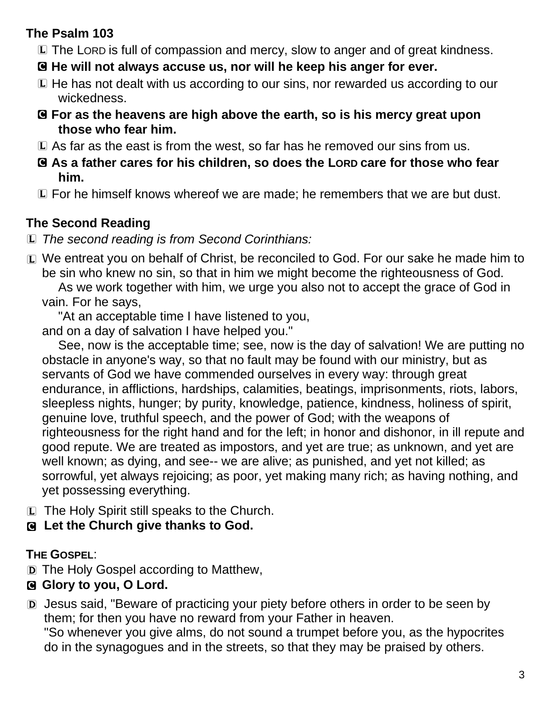# **The Psalm 103**

- L The LORD is full of compassion and mercy, slow to anger and of great kindness.
- C **He will not always accuse us, nor will he keep his anger for ever.**
- L He has not dealt with us according to our sins, nor rewarded us according to our wickedness.
- C **For as the heavens are high above the earth, so is his mercy great upon those who fear him.**
- L As far as the east is from the west, so far has he removed our sins from us.
- C **As a father cares for his children, so does the LORD care for those who fear him.**
- L For he himself knows whereof we are made; he remembers that we are but dust.

# **The Second Reading**

- L *The second reading is from Second Corinthians:*
- L We entreat you on behalf of Christ, be reconciled to God. For our sake he made him to be sin who knew no sin, so that in him we might become the righteousness of God. As we work together with him, we urge you also not to accept the grace of God in vain. For he says,

"At an acceptable time I have listened to you,

and on a day of salvation I have helped you."

See, now is the acceptable time; see, now is the day of salvation! We are putting no obstacle in anyone's way, so that no fault may be found with our ministry, but as servants of God we have commended ourselves in every way: through great endurance, in afflictions, hardships, calamities, beatings, imprisonments, riots, labors, sleepless nights, hunger; by purity, knowledge, patience, kindness, holiness of spirit, genuine love, truthful speech, and the power of God; with the weapons of righteousness for the right hand and for the left; in honor and dishonor, in ill repute and good repute. We are treated as impostors, and yet are true; as unknown, and yet are well known; as dying, and see-- we are alive; as punished, and yet not killed; as sorrowful, yet always rejoicing; as poor, yet making many rich; as having nothing, and yet possessing everything.

 $\Box$  The Holy Spirit still speaks to the Church.

# C **Let the Church give thanks to God.**

## **THE GOSPEL**:

D The Holy Gospel according to Matthew,

## C **Glory to you, O Lord.**

D Jesus said, "Beware of practicing your piety before others in order to be seen by them; for then you have no reward from your Father in heaven. "So whenever you give alms, do not sound a trumpet before you, as the hypocrites do in the synagogues and in the streets, so that they may be praised by others.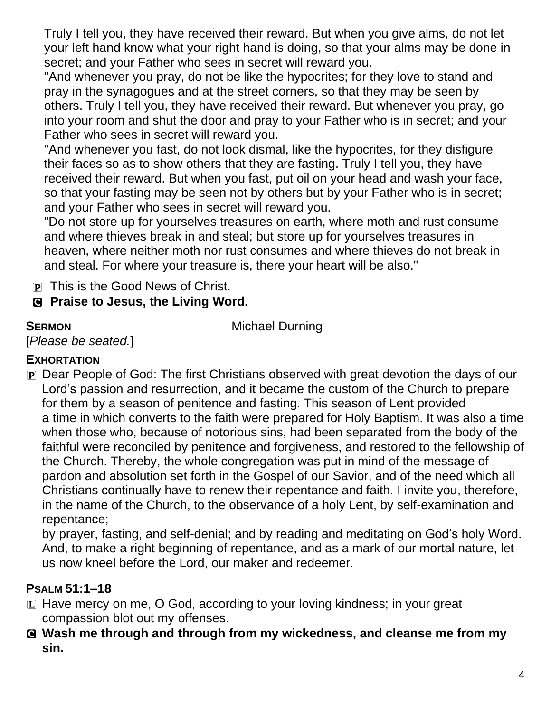Truly I tell you, they have received their reward. But when you give alms, do not let your left hand know what your right hand is doing, so that your alms may be done in secret; and your Father who sees in secret will reward you.

"And whenever you pray, do not be like the hypocrites; for they love to stand and pray in the synagogues and at the street corners, so that they may be seen by others. Truly I tell you, they have received their reward. But whenever you pray, go into your room and shut the door and pray to your Father who is in secret; and your Father who sees in secret will reward you.

"And whenever you fast, do not look dismal, like the hypocrites, for they disfigure their faces so as to show others that they are fasting. Truly I tell you, they have received their reward. But when you fast, put oil on your head and wash your face, so that your fasting may be seen not by others but by your Father who is in secret; and your Father who sees in secret will reward you.

"Do not store up for yourselves treasures on earth, where moth and rust consume and where thieves break in and steal; but store up for yourselves treasures in heaven, where neither moth nor rust consumes and where thieves do not break in and steal. For where your treasure is, there your heart will be also."

P This is the Good News of Christ.

## C **Praise to Jesus, the Living Word.**

**SERMON Michael Durning** 

[*Please be seated.*]

## **EXHORTATION**

P Dear People of God: The first Christians observed with great devotion the days of our Lord's passion and resurrection, and it became the custom of the Church to prepare for them by a season of penitence and fasting. This season of Lent provided a time in which converts to the faith were prepared for Holy Baptism. It was also a time when those who, because of notorious sins, had been separated from the body of the faithful were reconciled by penitence and forgiveness, and restored to the fellowship of the Church. Thereby, the whole congregation was put in mind of the message of pardon and absolution set forth in the Gospel of our Savior, and of the need which all Christians continually have to renew their repentance and faith. I invite you, therefore, in the name of the Church, to the observance of a holy Lent, by self-examination and repentance;

by prayer, fasting, and self-denial; and by reading and meditating on God's holy Word. And, to make a right beginning of repentance, and as a mark of our mortal nature, let us now kneel before the Lord, our maker and redeemer.

## **PSALM 51:1–18**

- L Have mercy on me, O God, according to your loving kindness; in your great compassion blot out my offenses.
- C **Wash me through and through from my wickedness, and cleanse me from my sin.**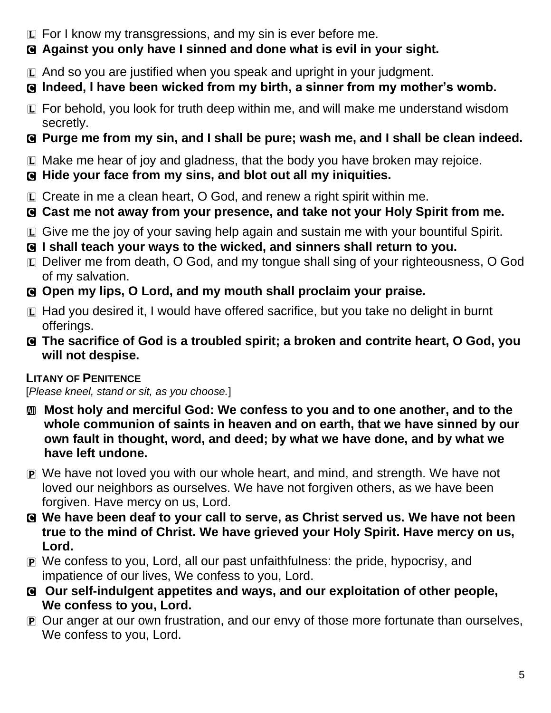- L For I know my transgressions, and my sin is ever before me.
- C **Against you only have I sinned and done what is evil in your sight.**
- L And so you are justified when you speak and upright in your judgment.
- C **Indeed, I have been wicked from my birth, a sinner from my mother's womb.**
- $\Box$  For behold, you look for truth deep within me, and will make me understand wisdom secretly.
- C **Purge me from my sin, and I shall be pure; wash me, and I shall be clean indeed.**
- L Make me hear of joy and gladness, that the body you have broken may rejoice.
- C **Hide your face from my sins, and blot out all my iniquities.**
- L Create in me a clean heart, O God, and renew a right spirit within me.
- C **Cast me not away from your presence, and take not your Holy Spirit from me.**
- L Give me the joy of your saving help again and sustain me with your bountiful Spirit.
- C **I shall teach your ways to the wicked, and sinners shall return to you.**
- L Deliver me from death, O God, and my tongue shall sing of your righteousness, O God of my salvation.
- C **Open my lips, O Lord, and my mouth shall proclaim your praise.**
- L Had you desired it, I would have offered sacrifice, but you take no delight in burnt offerings.
- C **The sacrifice of God is a troubled spirit; a broken and contrite heart, O God, you will not despise.**

# **LITANY OF PENITENCE**

[*Please kneel, stand or sit, as you choose.*]

- **Most holy and merciful God: We confess to you and to one another, and to the whole communion of saints in heaven and on earth, that we have sinned by our own fault in thought, word, and deed; by what we have done, and by what we have left undone.**
- P We have not loved you with our whole heart, and mind, and strength. We have not loved our neighbors as ourselves. We have not forgiven others, as we have been forgiven. Have mercy on us, Lord.
- C **We have been deaf to your call to serve, as Christ served us. We have not been true to the mind of Christ. We have grieved your Holy Spirit. Have mercy on us, Lord.**
- P We confess to you, Lord, all our past unfaithfulness: the pride, hypocrisy, and impatience of our lives, We confess to you, Lord.
- C **Our self-indulgent appetites and ways, and our exploitation of other people, We confess to you, Lord.**
- P Our anger at our own frustration, and our envy of those more fortunate than ourselves, We confess to you, Lord.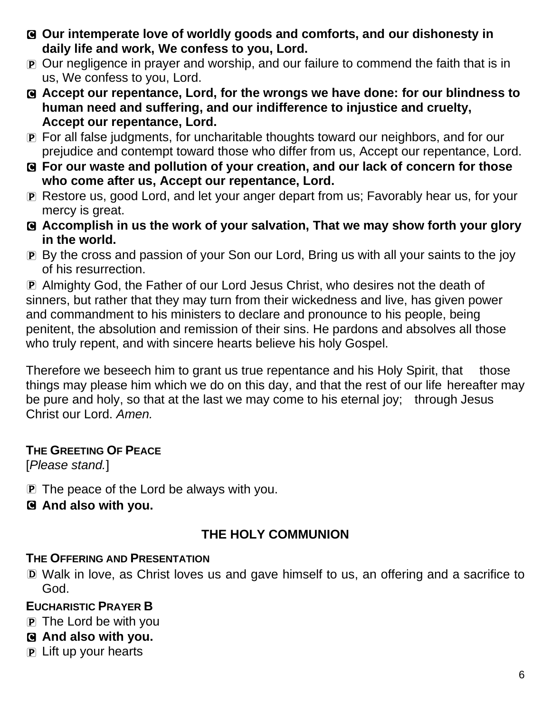- C **Our intemperate love of worldly goods and comforts, and our dishonesty in daily life and work, We confess to you, Lord.**
- P Our negligence in prayer and worship, and our failure to commend the faith that is in us, We confess to you, Lord.
- C **Accept our repentance, Lord, for the wrongs we have done: for our blindness to human need and suffering, and our indifference to injustice and cruelty, Accept our repentance, Lord.**
- P For all false judgments, for uncharitable thoughts toward our neighbors, and for our prejudice and contempt toward those who differ from us, Accept our repentance, Lord.
- C **For our waste and pollution of your creation, and our lack of concern for those who come after us, Accept our repentance, Lord.**
- P Restore us, good Lord, and let your anger depart from us; Favorably hear us, for your mercy is great.
- C **Accomplish in us the work of your salvation, That we may show forth your glory in the world.**
- P By the cross and passion of your Son our Lord, Bring us with all your saints to the joy of his resurrection.

P Almighty God, the Father of our Lord Jesus Christ, who desires not the death of sinners, but rather that they may turn from their wickedness and live, has given power and commandment to his ministers to declare and pronounce to his people, being penitent, the absolution and remission of their sins. He pardons and absolves all those who truly repent, and with sincere hearts believe his holy Gospel.

Therefore we beseech him to grant us true repentance and his Holy Spirit, that those things may please him which we do on this day, and that the rest of our life hereafter may be pure and holy, so that at the last we may come to his eternal joy; through Jesus Christ our Lord. *Amen.*

## **THE GREETING OF PEACE**

[*Please stand.*]

- **P** The peace of the Lord be always with you.
- C **And also with you.**

## **THE HOLY COMMUNION**

#### **THE OFFERING AND PRESENTATION**

D Walk in love, as Christ loves us and gave himself to us, an offering and a sacrifice to God.

#### **EUCHARISTIC PRAYER B**

P The Lord be with you

#### C **And also with you.**

P Lift up your hearts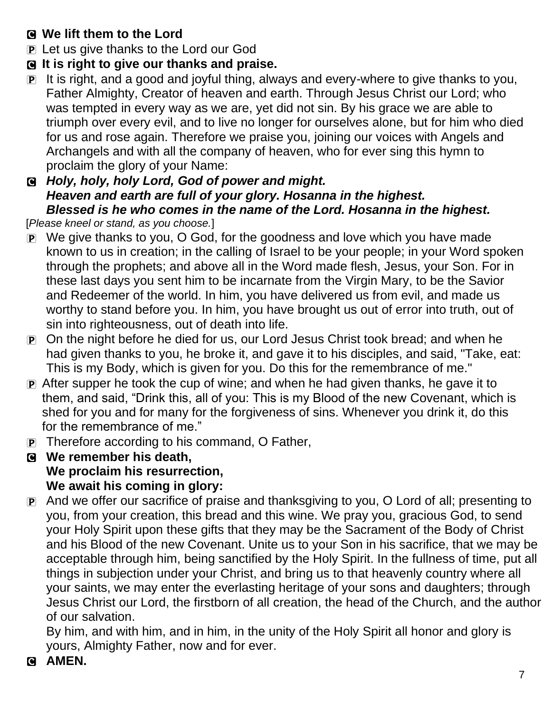# C **We lift them to the Lord**

- P Let us give thanks to the Lord our God
- C **It is right to give our thanks and praise.**
- P It is right, and a good and joyful thing, always and every-where to give thanks to you, Father Almighty, Creator of heaven and earth. Through Jesus Christ our Lord; who was tempted in every way as we are, yet did not sin. By his grace we are able to triumph over every evil, and to live no longer for ourselves alone, but for him who died for us and rose again. Therefore we praise you, joining our voices with Angels and Archangels and with all the company of heaven, who for ever sing this hymn to proclaim the glory of your Name:
- C *Holy, holy, holy Lord, God of power and might. Heaven and earth are full of your glory. Hosanna in the highest. Blessed is he who comes in the name of the Lord. Hosanna in the highest.*

[*Please kneel or stand, as you choose.*]

- P We give thanks to you, O God, for the goodness and love which you have made known to us in creation; in the calling of Israel to be your people; in your Word spoken through the prophets; and above all in the Word made flesh, Jesus, your Son. For in these last days you sent him to be incarnate from the Virgin Mary, to be the Savior and Redeemer of the world. In him, you have delivered us from evil, and made us worthy to stand before you. In him, you have brought us out of error into truth, out of sin into righteousness, out of death into life.
- P On the night before he died for us, our Lord Jesus Christ took bread; and when he had given thanks to you, he broke it, and gave it to his disciples, and said, "Take, eat: This is my Body, which is given for you. Do this for the remembrance of me."
- P After supper he took the cup of wine; and when he had given thanks, he gave it to them, and said, "Drink this, all of you: This is my Blood of the new Covenant, which is shed for you and for many for the forgiveness of sins. Whenever you drink it, do this for the remembrance of me."
- $\overline{P}$  Therefore according to his command, O Father,
- C **We remember his death, We proclaim his resurrection, We await his coming in glory:**
- P And we offer our sacrifice of praise and thanksgiving to you, O Lord of all; presenting to you, from your creation, this bread and this wine. We pray you, gracious God, to send your Holy Spirit upon these gifts that they may be the Sacrament of the Body of Christ and his Blood of the new Covenant. Unite us to your Son in his sacrifice, that we may be acceptable through him, being sanctified by the Holy Spirit. In the fullness of time, put all things in subjection under your Christ, and bring us to that heavenly country where all your saints, we may enter the everlasting heritage of your sons and daughters; through Jesus Christ our Lord, the firstborn of all creation, the head of the Church, and the author of our salvation.

By him, and with him, and in him, in the unity of the Holy Spirit all honor and glory is yours, Almighty Father, now and for ever.

C **AMEN.**